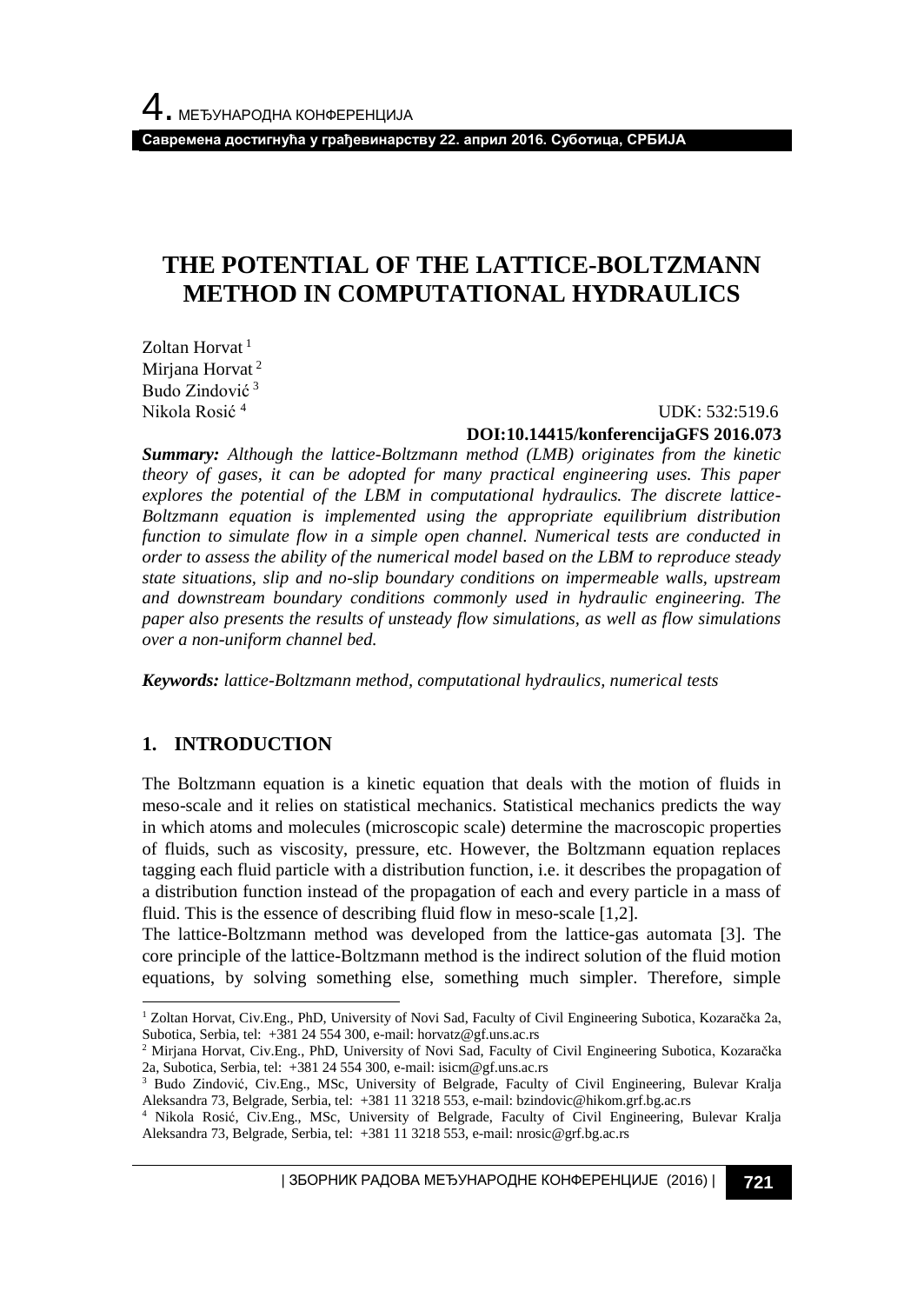**Савремена достигнућа у грађевинарству 22. април 2016. Суботица, СРБИЈА**

## **THE POTENTIAL OF THE LATTICE-BOLTZMANN METHOD IN COMPUTATIONAL HYDRAULICS**

Zoltan Horvat<sup>1</sup> Mirjana Horvat<sup>2</sup> Budo Zindović <sup>3</sup> Nikola Rosić <sup>4</sup>

 UDK: 532:519.6 **DOI:10.14415/konferencijaGFS 2016.073**

*Summary: Although the lattice-Boltzmann method (LMB) originates from the kinetic theory of gases, it can be adopted for many practical engineering uses. This paper explores the potential of the LBM in computational hydraulics. The discrete lattice-Boltzmann equation is implemented using the appropriate equilibrium distribution function to simulate flow in a simple open channel. Numerical tests are conducted in order to assess the ability of the numerical model based on the LBM to reproduce steady state situations, slip and no-slip boundary conditions on impermeable walls, upstream and downstream boundary conditions commonly used in hydraulic engineering. The paper also presents the results of unsteady flow simulations, as well as flow simulations over a non-uniform channel bed.*

*Keywords: lattice-Boltzmann method, computational hydraulics, numerical tests*

### **1. INTRODUCTION**

l

The Boltzmann equation is a kinetic equation that deals with the motion of fluids in meso-scale and it relies on statistical mechanics. Statistical mechanics predicts the way in which atoms and molecules (microscopic scale) determine the macroscopic properties of fluids, such as viscosity, pressure, etc. However, the Boltzmann equation replaces tagging each fluid particle with a distribution function, i.e. it describes the propagation of a distribution function instead of the propagation of each and every particle in a mass of fluid. This is the essence of describing fluid flow in meso-scale [1,2].

The lattice-Boltzmann method was developed from the lattice-gas automata [3]. The core principle of the lattice-Boltzmann method is the indirect solution of the fluid motion equations, by solving something else, something much simpler. Therefore, simple

| ЗБОРНИК РАДОВА МЕЂУНАРОДНЕ КОНФЕРЕНЦИЈЕ (2016) | **721**

<sup>1</sup> Zoltan Horvat, Civ.Eng., PhD, University of Novi Sad, Faculty of Civil Engineering Subotica, Kozaračka 2a, Subotica, Serbia, tel: +381 24 554 300, e-mail: horvatz@gf.uns.ac.rs

<sup>2</sup> Mirjana Horvat, Civ.Eng., PhD, University of Novi Sad, Faculty of Civil Engineering Subotica, Kozaračka 2a, Subotica, Serbia, tel: +381 24 554 300, e-mail: isicm@gf.uns.ac.rs

<sup>&</sup>lt;sup>3</sup> Budo Zindović, Civ.Eng., MSc, University of Belgrade, Faculty of Civil Engineering, Bulevar Kralja Aleksandra 73, Belgrade, Serbia, tel: +381 11 3218 553, e-mail: bzindovic@hikom.grf.bg.ac.rs

<sup>4</sup> Nikola Rosić, Civ.Eng., MSc, University of Belgrade, Faculty of Civil Engineering, Bulevar Kralja Aleksandra 73, Belgrade, Serbia, tel: +381 11 3218 553, e-mail: nrosic@grf.bg.ac.rs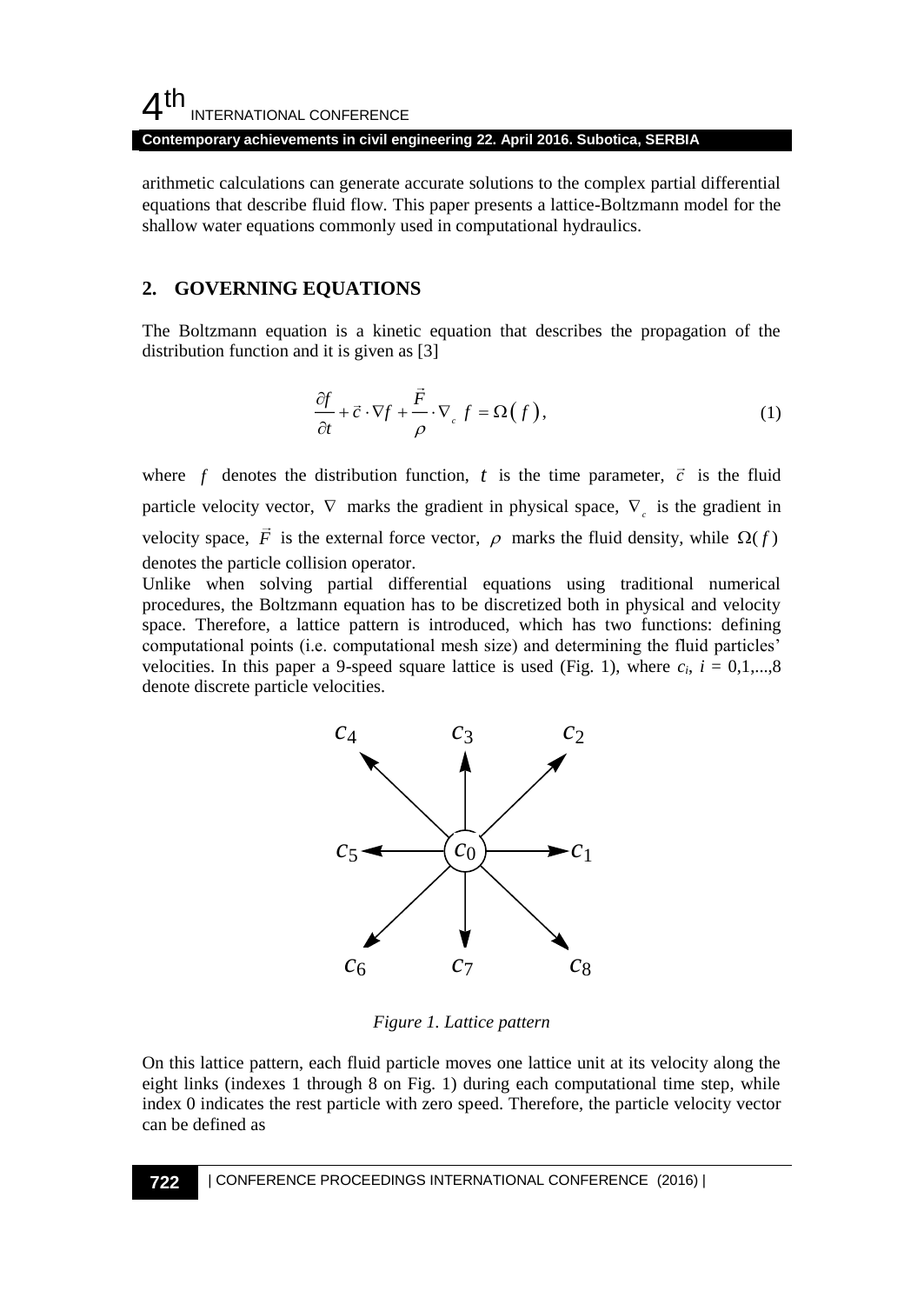#### **Contemporary achievements in civil engineering 22. April 2016. Subotica, SERBIA**

arithmetic calculations can generate accurate solutions to the complex partial differential equations that describe fluid flow. This paper presents a lattice-Boltzmann model for the shallow water equations commonly used in computational hydraulics.

### **2. GOVERNING EQUATIONS**

The Boltzmann equation is a kinetic equation that describes the propagation of the distribution function and it is given as [3]

$$
\frac{\partial f}{\partial t} + \vec{c} \cdot \nabla f + \frac{\vec{F}}{\rho} \cdot \nabla_c f = \Omega(f),\tag{1}
$$

where  $f$  denotes the distribution function,  $t$  is the time parameter,  $\vec{c}$  is the fluid particle velocity vector,  $\nabla$  marks the gradient in physical space,  $\nabla$ <sub>c</sub> is the gradient in velocity space, F is the external force vector,  $\rho$  marks the fluid density, while  $\Omega(f)$ denotes the particle collision operator.

Unlike when solving partial differential equations using traditional numerical procedures, the Boltzmann equation has to be discretized both in physical and velocity space. Therefore, a lattice pattern is introduced, which has two functions: defining computational points (i.e. computational mesh size) and determining the fluid particles' velocities. In this paper a 9-speed square lattice is used (Fig. 1), where  $c_i$ ,  $i = 0,1,...,8$ denote discrete particle velocities.



*Figure 1. Lattice pattern*

On this lattice pattern, each fluid particle moves one lattice unit at its velocity along the eight links (indexes 1 through 8 on Fig. 1) during each computational time step, while index 0 indicates the rest particle with zero speed. Therefore, the particle velocity vector can be defined as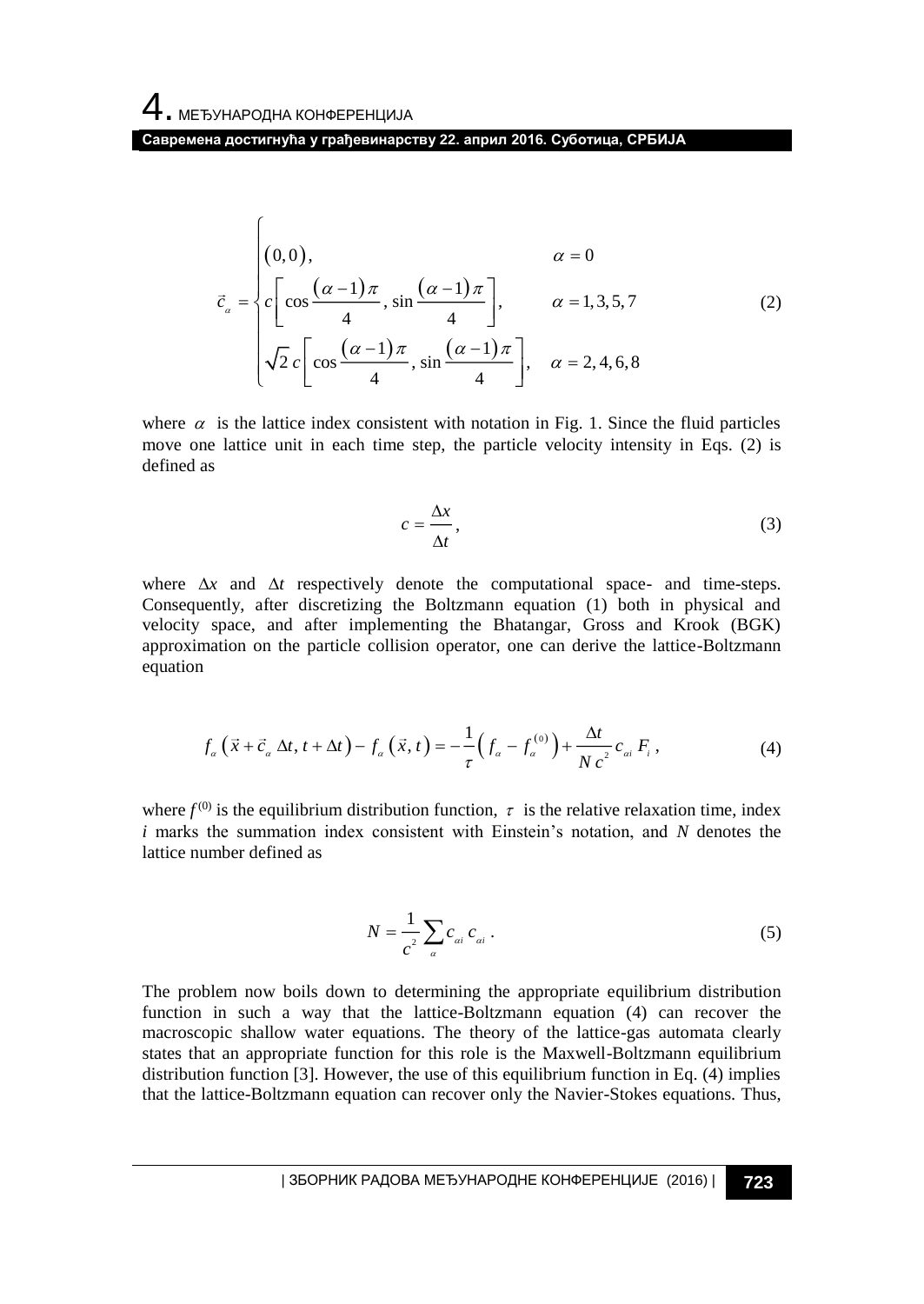$\sqrt{ }$ 

**Савремена достигнућа у грађевинарству 22. април 2016. Суботица, СРБИЈА**

$$
\vec{c}_{\alpha} = \begin{cases}\n(0,0), & \alpha = 0 \\
c \left[ \cos \frac{(\alpha-1)\pi}{4}, \sin \frac{(\alpha-1)\pi}{4} \right], & \alpha = 1,3,5,7 \\
\sqrt{2}c \left[ \cos \frac{(\alpha-1)\pi}{4}, \sin \frac{(\alpha-1)\pi}{4} \right], & \alpha = 2,4,6,8\n\end{cases}
$$
\n(2)

where  $\alpha$  is the lattice index consistent with notation in Fig. 1. Since the fluid particles move one lattice unit in each time step, the particle velocity intensity in Eqs. (2) is defined as

$$
c = \frac{\Delta x}{\Delta t},\tag{3}
$$

where  $\Delta x$  and  $\Delta t$  respectively denote the computational space- and time-steps. Consequently, after discretizing the Boltzmann equation (1) both in physical and velocity space, and after implementing the Bhatangar, Gross and Krook (BGK) approximation on the particle collision operator, one can derive the lattice-Boltzmann equation

$$
f_{\alpha}\left(\vec{x}+\vec{c}_{\alpha}\Delta t,t+\Delta t\right)-f_{\alpha}\left(\vec{x},t\right)=-\frac{1}{\tau}\left(f_{\alpha}-f_{\alpha}^{(0)}\right)+\frac{\Delta t}{Nc^{2}}c_{\alpha i}F_{i},\qquad(4)
$$

where  $f^{(0)}$  is the equilibrium distribution function,  $\tau$  is the relative relaxation time, index *i* marks the summation index consistent with Einstein's notation, and *N* denotes the lattice number defined as

$$
N = \frac{1}{c^2} \sum_{a} c_{ai} \, c_{ai} \, . \tag{5}
$$

The problem now boils down to determining the appropriate equilibrium distribution function in such a way that the lattice-Boltzmann equation (4) can recover the macroscopic shallow water equations. The theory of the lattice-gas automata clearly states that an appropriate function for this role is the Maxwell-Boltzmann equilibrium distribution function [3]. However, the use of this equilibrium function in Eq. (4) implies that the lattice-Boltzmann equation can recover only the Navier-Stokes equations. Thus,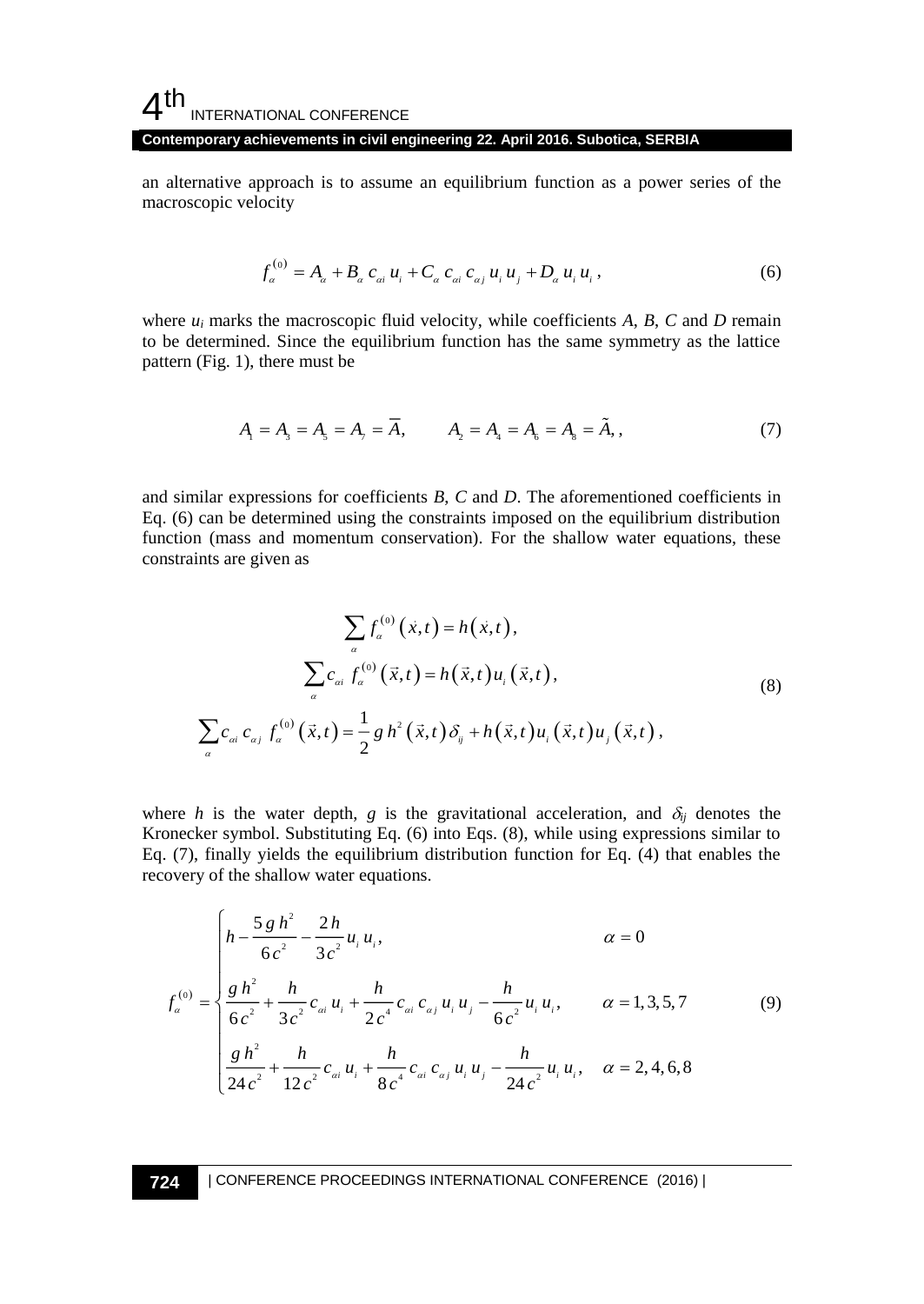**Contemporary achievements in civil engineering 22. April 2016. Subotica, SERBIA**

an alternative approach is to assume an equilibrium function as a power series of the macroscopic velocity

$$
f_a^{(0)} = A_a + B_a c_{ai} u_i + C_a c_{ai} c_{aj} u_i u_j + D_a u_i u_i,
$$
\n(6)

where  $u_i$  marks the macroscopic fluid velocity, while coefficients  $A$ ,  $B$ ,  $C$  and  $D$  remain to be determined. Since the equilibrium function has the same symmetry as the lattice pattern (Fig. 1), there must be

$$
A_1 = A_3 = A_5 = A_7 = \overline{A}, \qquad A_2 = A_4 = A_6 = A_8 = \tilde{A}, \qquad (7)
$$

and similar expressions for coefficients *B*, *C* and *D*. The aforementioned coefficients in Eq. (6) can be determined using the constraints imposed on the equilibrium distribution function (mass and momentum conservation). For the shallow water equations, these constraints are given as

$$
\sum_{a} f_{a}^{(0)}(\vec{x},t) = h(\vec{x},t),
$$
\n
$$
\sum_{a} c_{ai} f_{a}^{(0)}(\vec{x},t) = h(\vec{x},t)u_{i}(\vec{x},t),
$$
\n
$$
\sum_{a} c_{ai} c_{aj} f_{a}^{(0)}(\vec{x},t) = \frac{1}{2} g h^{2}(\vec{x},t) \delta_{ij} + h(\vec{x},t)u_{i}(\vec{x},t)u_{j}(\vec{x},t),
$$
\n(8)

where *h* is the water depth, *g* is the gravitational acceleration, and  $\delta_{ij}$  denotes the Kronecker symbol. Substituting Eq. (6) into Eqs. (8), while using expressions similar to Eq. (7), finally yields the equilibrium distribution function for Eq. (4) that enables the recovery of the shallow water equations.

$$
f_{\alpha}^{(0)} = \begin{cases} h - \frac{5 g h^2}{6 c^2} - \frac{2 h}{3 c^2} u_i u_i, & \alpha = 0\\ \frac{g h^2}{6 c^2} + \frac{h}{3 c^2} c_{\alpha i} u_i + \frac{h}{2 c^4} c_{\alpha i} c_{\alpha j} u_i u_j - \frac{h}{6 c^2} u_i u_i, & \alpha = 1, 3, 5, 7\\ \frac{g h^2}{24 c^2} + \frac{h}{12 c^2} c_{\alpha i} u_i + \frac{h}{8 c^4} c_{\alpha i} c_{\alpha j} u_i u_j - \frac{h}{24 c^2} u_i u_i, & \alpha = 2, 4, 6, 8 \end{cases}
$$
(9)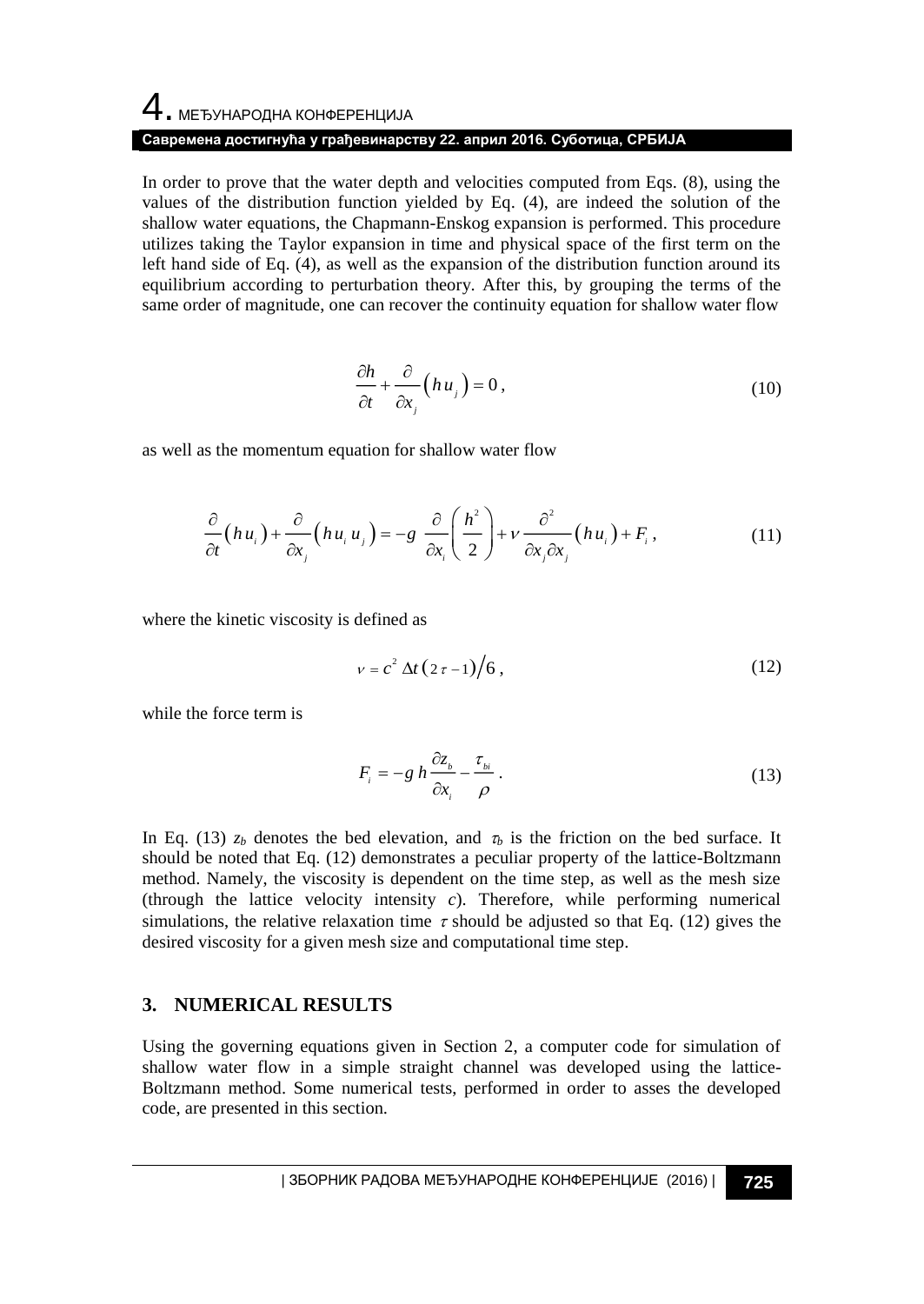## 4. МЕЂУНАРОДНА КОНФЕРЕНЦИЈА **Савремена достигнућа у грађевинарству 22. април 2016. Суботица, СРБИЈА**

In order to prove that the water depth and velocities computed from Eqs. (8), using the values of the distribution function yielded by Eq. (4), are indeed the solution of the shallow water equations, the Chapmann-Enskog expansion is performed. This procedure utilizes taking the Taylor expansion in time and physical space of the first term on the left hand side of Eq. (4), as well as the expansion of the distribution function around its equilibrium according to perturbation theory. After this, by grouping the terms of the same order of magnitude, one can recover the continuity equation for shallow water flow

$$
\frac{\partial h}{\partial t} + \frac{\partial}{\partial x_j} \left( h u_j \right) = 0 \,, \tag{10}
$$

as well as the momentum equation for shallow water flow

$$
\frac{\partial}{\partial t}(hu_i) + \frac{\partial}{\partial x_i}(hu_i u_j) = -g \frac{\partial}{\partial x_i}\left(\frac{h^2}{2}\right) + v \frac{\partial^2}{\partial x_j \partial x_j}(hu_i) + F_i,
$$
\n(11)

where the kinetic viscosity is defined as

$$
v = c^2 \Delta t (2 \tau - 1) / 6, \qquad (12)
$$

while the force term is

$$
F_i = -g \, h \, \frac{\partial z_{\scriptscriptstyle b}}{\partial x_i} - \frac{\tau_{\scriptscriptstyle b i}}{\rho} \,. \tag{13}
$$

In Eq. (13)  $z_b$  denotes the bed elevation, and  $\tau_b$  is the friction on the bed surface. It should be noted that Eq. (12) demonstrates a peculiar property of the lattice-Boltzmann method. Namely, the viscosity is dependent on the time step, as well as the mesh size (through the lattice velocity intensity *c*). Therefore, while performing numerical simulations, the relative relaxation time  $\tau$  should be adjusted so that Eq. (12) gives the desired viscosity for a given mesh size and computational time step.

#### **3. NUMERICAL RESULTS**

Using the governing equations given in Section 2, a computer code for simulation of shallow water flow in a simple straight channel was developed using the lattice-Boltzmann method. Some numerical tests, performed in order to asses the developed code, are presented in this section.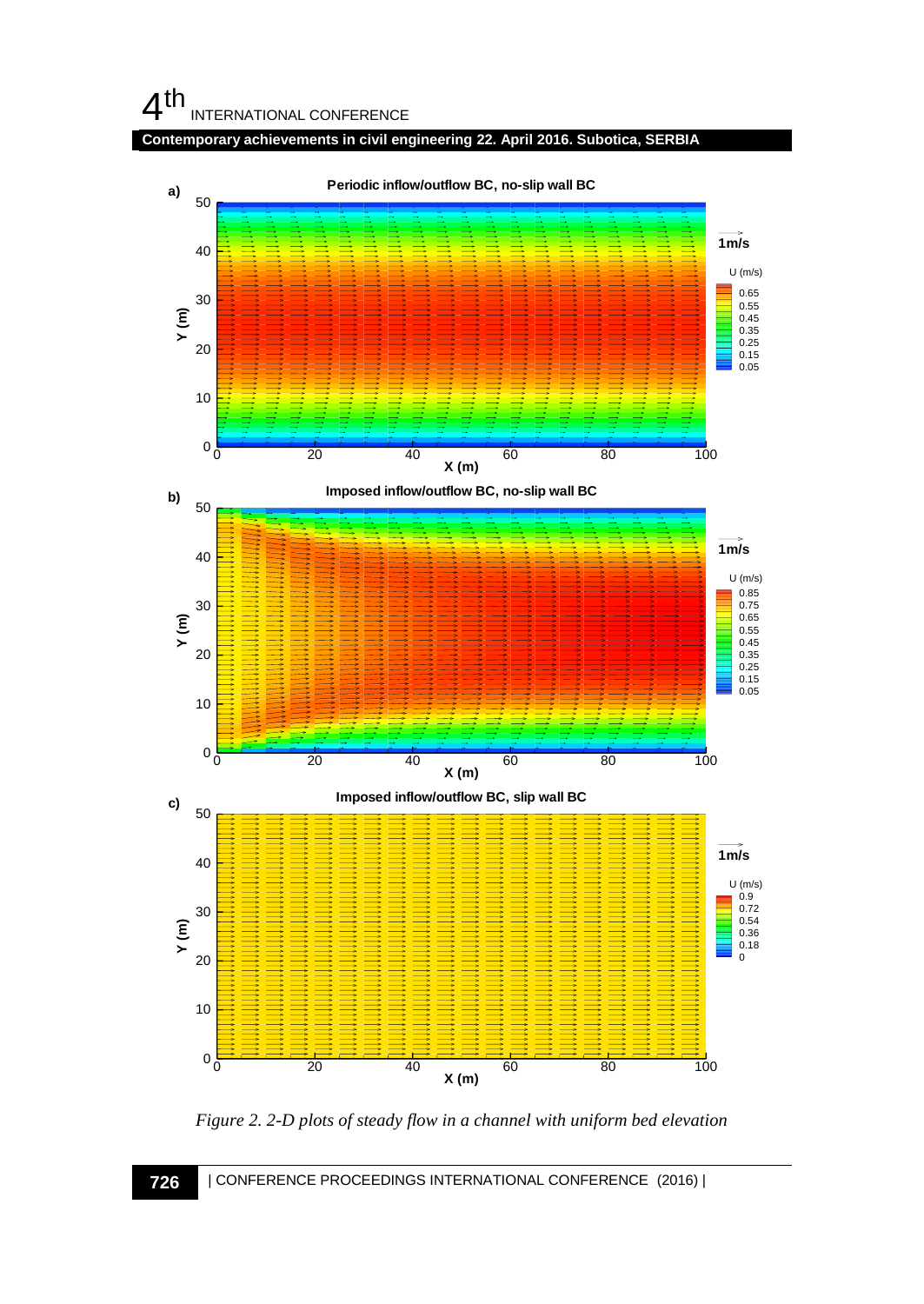**Contemporary achievements in civil engineering 22. April 2016. Subotica, SERBIA**



*Figure 2. 2-D plots of steady flow in a channel with uniform bed elevation*

**726** | CONFERENCE PROCEEDINGS INTERNATIONAL CONFERENCE (2016) |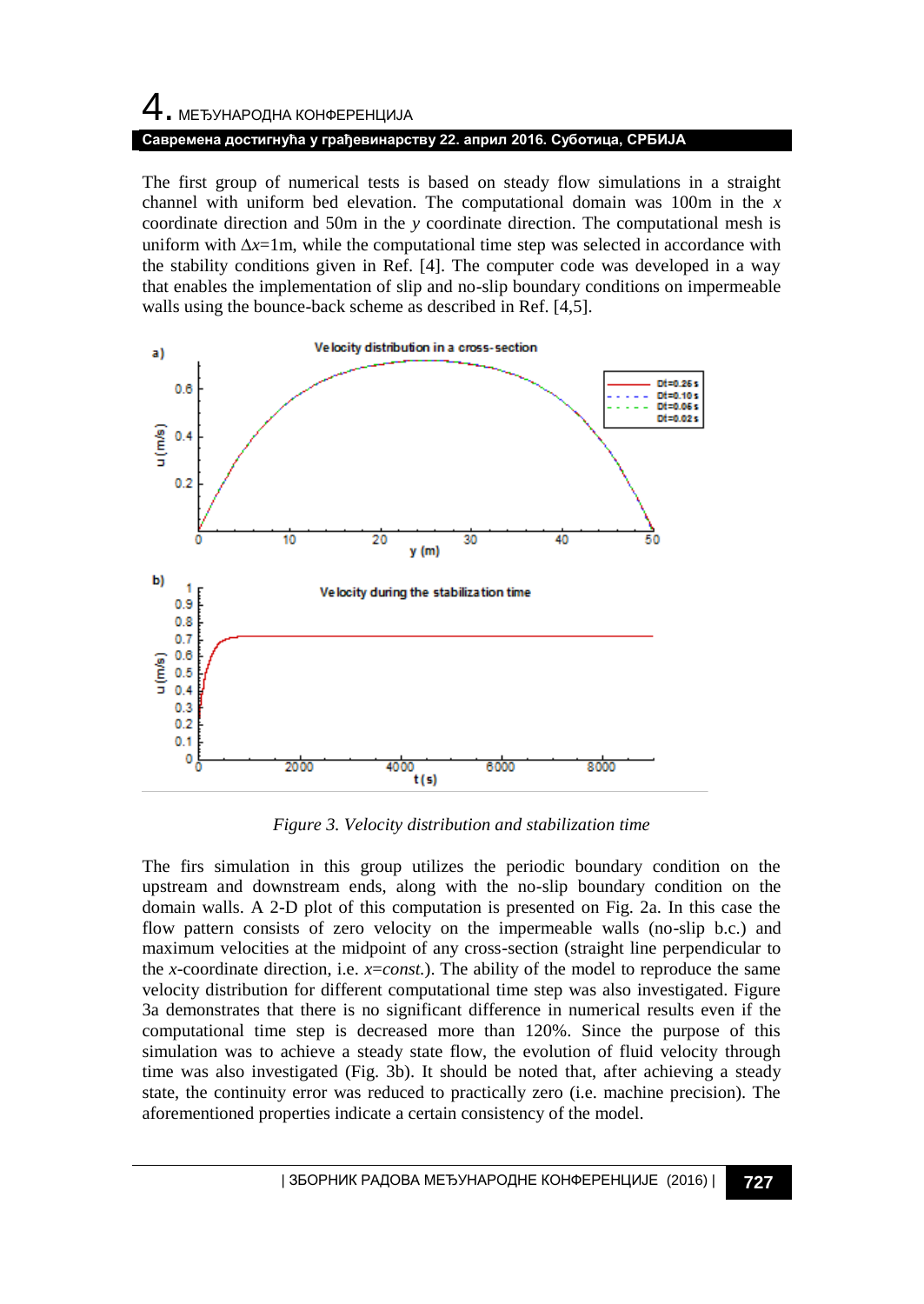# 4. МЕЂУНАРОДНА КОНФЕРЕНЦИЈА **Савремена достигнућа у грађевинарству 22. април 2016. Суботица, СРБИЈА**

The first group of numerical tests is based on steady flow simulations in a straight channel with uniform bed elevation. The computational domain was 100m in the *x* coordinate direction and 50m in the *y* coordinate direction. The computational mesh is uniform with  $\Delta x=1$ m, while the computational time step was selected in accordance with the stability conditions given in Ref. [4]. The computer code was developed in a way that enables the implementation of slip and no-slip boundary conditions on impermeable walls using the bounce-back scheme as described in Ref. [4,5].



*Figure 3. Velocity distribution and stabilization time*

The firs simulation in this group utilizes the periodic boundary condition on the upstream and downstream ends, along with the no-slip boundary condition on the domain walls. A 2-D plot of this computation is presented on Fig. 2a. In this case the flow pattern consists of zero velocity on the impermeable walls (no-slip b.c.) and maximum velocities at the midpoint of any cross-section (straight line perpendicular to the *x*-coordinate direction, i.e. *x*=*const.*). The ability of the model to reproduce the same velocity distribution for different computational time step was also investigated. Figure 3a demonstrates that there is no significant difference in numerical results even if the computational time step is decreased more than 120%. Since the purpose of this simulation was to achieve a steady state flow, the evolution of fluid velocity through time was also investigated (Fig. 3b). It should be noted that, after achieving a steady state, the continuity error was reduced to practically zero (i.e. machine precision). The aforementioned properties indicate a certain consistency of the model.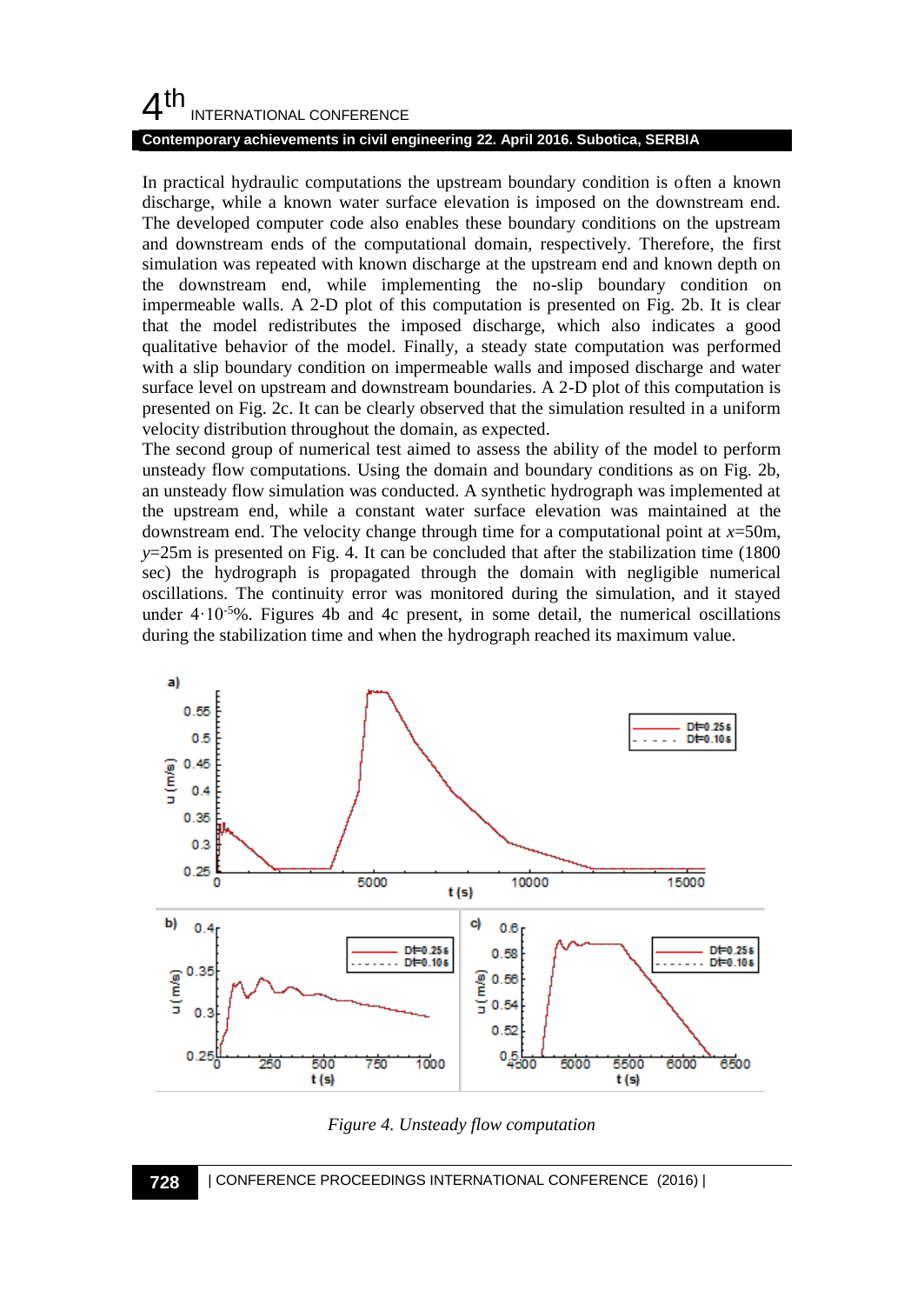#### **Contemporary achievements in civil engineering 22. April 2016. Subotica, SERBIA**

In practical hydraulic computations the upstream boundary condition is often a known discharge, while a known water surface elevation is imposed on the downstream end. The developed computer code also enables these boundary conditions on the upstream and downstream ends of the computational domain, respectively. Therefore, the first simulation was repeated with known discharge at the upstream end and known depth on the downstream end, while implementing the no-slip boundary condition on impermeable walls. A 2-D plot of this computation is presented on Fig. 2b. It is clear that the model redistributes the imposed discharge, which also indicates a good qualitative behavior of the model. Finally, a steady state computation was performed with a slip boundary condition on impermeable walls and imposed discharge and water surface level on upstream and downstream boundaries. A 2-D plot of this computation is presented on Fig. 2c. It can be clearly observed that the simulation resulted in a uniform velocity distribution throughout the domain, as expected.

The second group of numerical test aimed to assess the ability of the model to perform unsteady flow computations. Using the domain and boundary conditions as on Fig. 2b, an unsteady flow simulation was conducted. A synthetic hydrograph was implemented at the upstream end, while a constant water surface elevation was maintained at the downstream end. The velocity change through time for a computational point at *x*=50m, *y*=25m is presented on Fig. 4. It can be concluded that after the stabilization time (1800 sec) the hydrograph is propagated through the domain with negligible numerical oscillations. The continuity error was monitored during the simulation, and it stayed under  $4.10^{-5}\%$ . Figures 4b and 4c present, in some detail, the numerical oscillations during the stabilization time and when the hydrograph reached its maximum value.



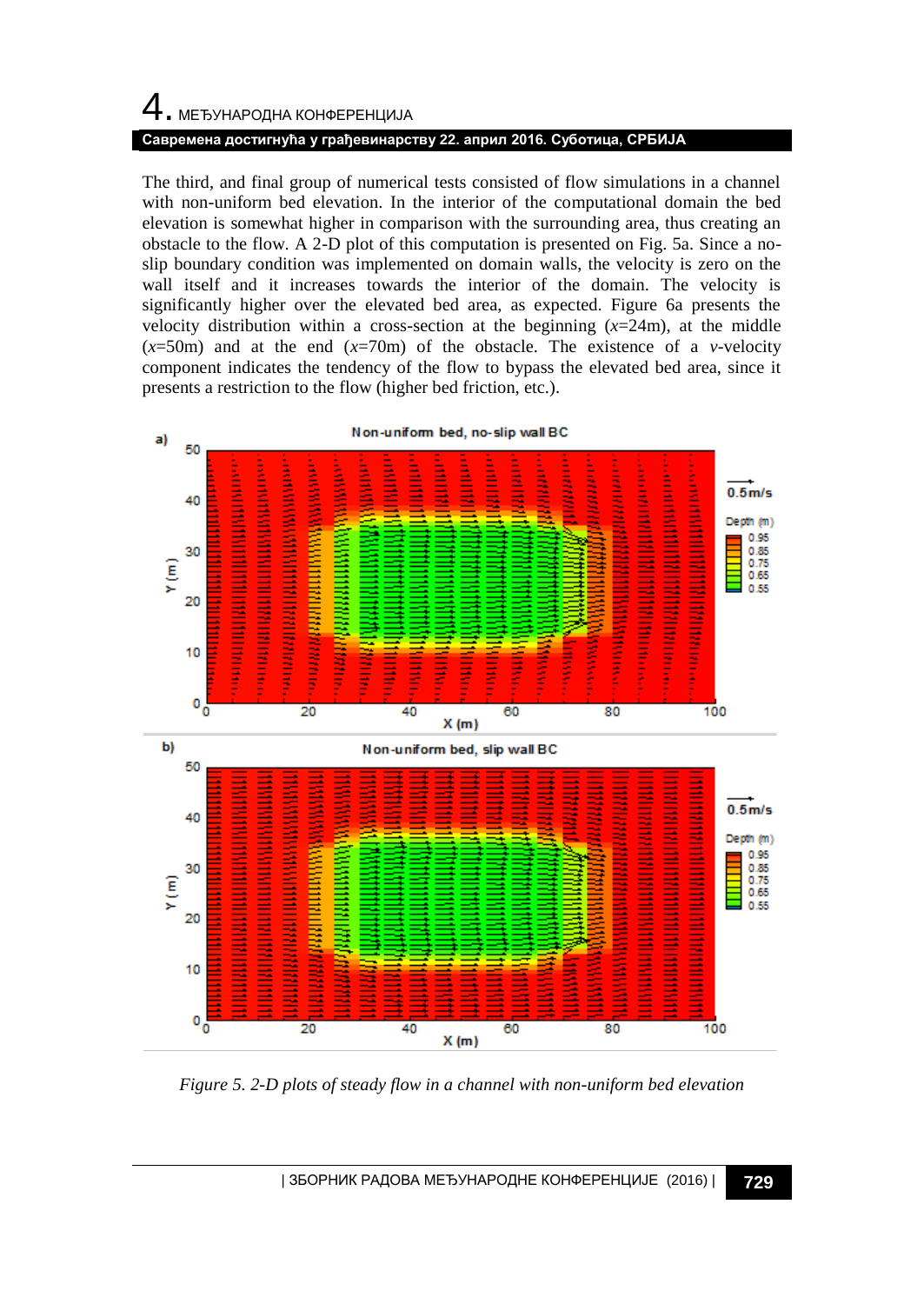# $\,4\,$ . МЕЂУНАРОДНА КОНФЕРЕНЦИЈА **Савремена достигнућа у грађевинарству 22. април 2016. Суботица, СРБИЈА**

The third, and final group of numerical tests consisted of flow simulations in a channel with non-uniform bed elevation. In the interior of the computational domain the bed elevation is somewhat higher in comparison with the surrounding area, thus creating an obstacle to the flow. A 2-D plot of this computation is presented on Fig. 5a. Since a noslip boundary condition was implemented on domain walls, the velocity is zero on the wall itself and it increases towards the interior of the domain. The velocity is significantly higher over the elevated bed area, as expected. Figure 6a presents the velocity distribution within a cross-section at the beginning  $(x=24m)$ , at the middle  $(x=50m)$  and at the end  $(x=70m)$  of the obstacle. The existence of a *v*-velocity component indicates the tendency of the flow to bypass the elevated bed area, since it presents a restriction to the flow (higher bed friction, etc.).



*Figure 5. 2-D plots of steady flow in a channel with non-uniform bed elevation*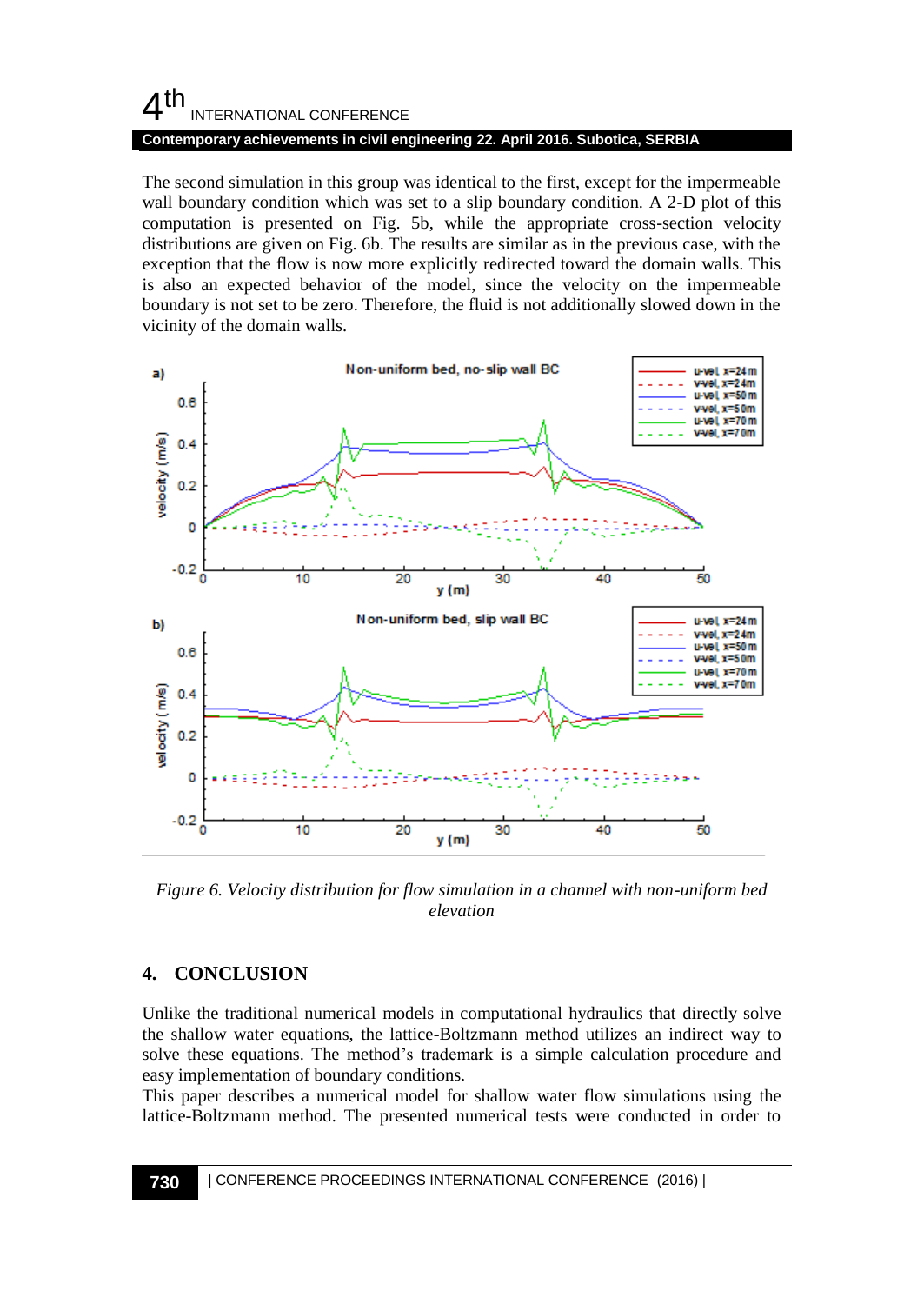#### **Contemporary achievements in civil engineering 22. April 2016. Subotica, SERBIA**

The second simulation in this group was identical to the first, except for the impermeable wall boundary condition which was set to a slip boundary condition. A 2-D plot of this computation is presented on Fig. 5b, while the appropriate cross-section velocity distributions are given on Fig. 6b. The results are similar as in the previous case, with the exception that the flow is now more explicitly redirected toward the domain walls. This is also an expected behavior of the model, since the velocity on the impermeable boundary is not set to be zero. Therefore, the fluid is not additionally slowed down in the vicinity of the domain walls.



*Figure 6. Velocity distribution for flow simulation in a channel with non-uniform bed elevation*

### **4. CONCLUSION**

Unlike the traditional numerical models in computational hydraulics that directly solve the shallow water equations, the lattice-Boltzmann method utilizes an indirect way to solve these equations. The method's trademark is a simple calculation procedure and easy implementation of boundary conditions.

This paper describes a numerical model for shallow water flow simulations using the lattice-Boltzmann method. The presented numerical tests were conducted in order to